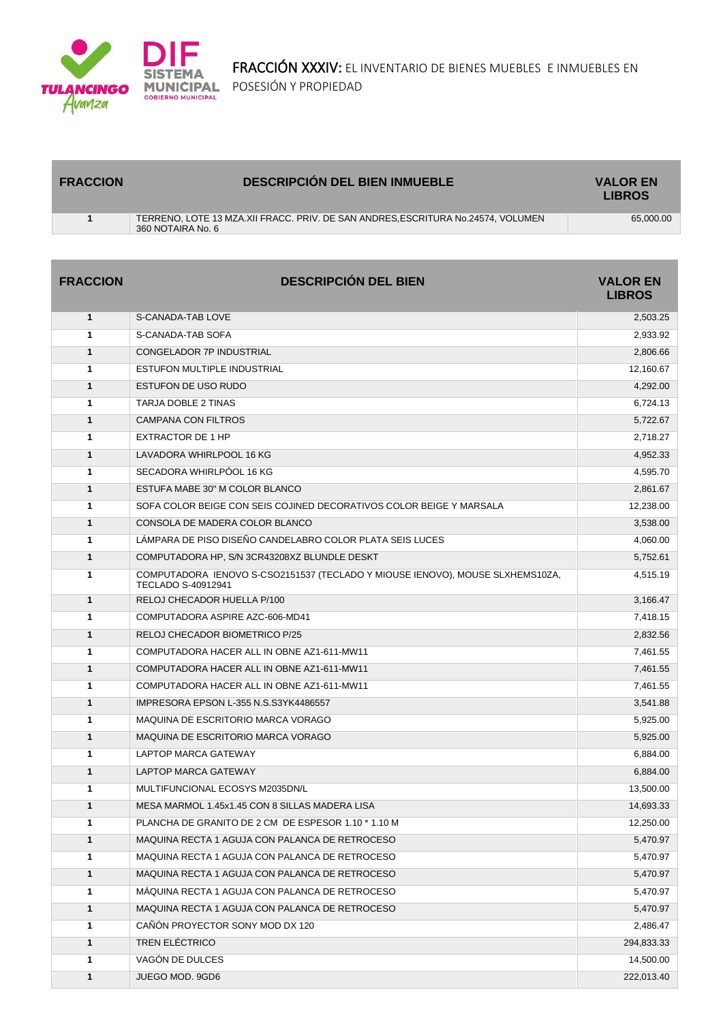

| <b>FRACCION</b> | <b>DESCRIPCIÓN DEL BIEN INMUEBLE</b>                                                                 | <b>VALOR EN</b><br><b>LIBROS</b> |
|-----------------|------------------------------------------------------------------------------------------------------|----------------------------------|
|                 | TERRENO. LOTE 13 MZA.XII FRACC. PRIV. DE SAN ANDRES.ESCRITURA No.24574. VOLUMEN<br>360 NOTAIRA No. 6 | 65.000.00                        |
|                 |                                                                                                      |                                  |

| <b>FRACCION</b> | <b>DESCRIPCIÓN DEL BIEN</b>                                                                                | <b>VALOR EN</b><br><b>LIBROS</b> |
|-----------------|------------------------------------------------------------------------------------------------------------|----------------------------------|
| $\mathbf{1}$    | S-CANADA-TAB LOVE                                                                                          | 2,503.25                         |
| 1               | S-CANADA-TAB SOFA                                                                                          | 2,933.92                         |
| 1               | CONGELADOR 7P INDUSTRIAL                                                                                   | 2,806.66                         |
| 1               | ESTUFON MULTIPLE INDUSTRIAL                                                                                | 12,160.67                        |
| 1               | <b>ESTUFON DE USO RUDO</b>                                                                                 | 4,292.00                         |
| 1               | <b>TARJA DOBLE 2 TINAS</b>                                                                                 | 6,724.13                         |
| $\mathbf{1}$    | <b>CAMPANA CON FILTROS</b>                                                                                 | 5,722.67                         |
| 1               | EXTRACTOR DE 1 HP                                                                                          | 2.718.27                         |
| 1               | LAVADORA WHIRLPOOL 16 KG                                                                                   | 4,952.33                         |
| 1               | SECADORA WHIRLPOOL 16 KG                                                                                   | 4,595.70                         |
| 1               | ESTUFA MABE 30" M COLOR BLANCO                                                                             | 2,861.67                         |
| 1               | SOFA COLOR BEIGE CON SEIS COJINED DECORATIVOS COLOR BEIGE Y MARSALA                                        | 12,238.00                        |
| $\mathbf{1}$    | CONSOLA DE MADERA COLOR BLANCO                                                                             | 3,538.00                         |
| 1               | LÁMPARA DE PISO DISEÑO CANDELABRO COLOR PLATA SEIS LUCES                                                   | 4,060.00                         |
| $\mathbf{1}$    | COMPUTADORA HP, S/N 3CR43208XZ BLUNDLE DESKT                                                               | 5,752.61                         |
| 1               | COMPUTADORA IENOVO S-CSO2151537 (TECLADO Y MIOUSE IENOVO), MOUSE SLXHEMS10ZA,<br><b>TECLADO S-40912941</b> | 4,515.19                         |
| $\mathbf{1}$    | RELOJ CHECADOR HUELLA P/100                                                                                | 3,166.47                         |
| 1               | COMPUTADORA ASPIRE AZC-606-MD41                                                                            | 7,418.15                         |
| 1               | <b>RELOJ CHECADOR BIOMETRICO P/25</b>                                                                      | 2,832.56                         |
| 1               | COMPUTADORA HACER ALL IN OBNE AZ1-611-MW11                                                                 | 7,461.55                         |
| $\mathbf{1}$    | COMPUTADORA HACER ALL IN OBNE AZ1-611-MW11                                                                 | 7,461.55                         |
| 1               | COMPUTADORA HACER ALL IN OBNE AZ1-611-MW11                                                                 | 7,461.55                         |
| 1               | IMPRESORA EPSON L-355 N.S.S3YK4486557                                                                      | 3,541.88                         |
| 1               | MAQUINA DE ESCRITORIO MARCA VORAGO                                                                         | 5,925.00                         |
| 1               | MAQUINA DE ESCRITORIO MARCA VORAGO                                                                         | 5,925.00                         |
| 1               | LAPTOP MARCA GATEWAY                                                                                       | 6,884.00                         |
| 1               | <b>LAPTOP MARCA GATEWAY</b>                                                                                | 6,884.00                         |
| 1               | MULTIFUNCIONAL ECOSYS M2035DN/L                                                                            | 13,500.00                        |
| $\mathbf{1}$    | MESA MARMOL 1.45x1.45 CON 8 SILLAS MADERA LISA                                                             | 14.693.33                        |
| 1               | PLANCHA DE GRANITO DE 2 CM DE ESPESOR 1.10 * 1.10 M                                                        | 12,250.00                        |
| $\mathbf{1}$    | MAQUINA RECTA 1 AGUJA CON PALANCA DE RETROCESO                                                             | 5,470.97                         |
| 1               | MAQUINA RECTA 1 AGUJA CON PALANCA DE RETROCESO                                                             | 5,470.97                         |
| 1               | MAQUINA RECTA 1 AGUJA CON PALANCA DE RETROCESO                                                             | 5,470.97                         |
| 1               | MÁQUINA RECTA 1 AGUJA CON PALANCA DE RETROCESO                                                             | 5,470.97                         |
| 1               | MAQUINA RECTA 1 AGUJA CON PALANCA DE RETROCESO                                                             | 5,470.97                         |
| 1               | CAÑÓN PROYECTOR SONY MOD DX 120                                                                            | 2,486.47                         |
| 1               | <b>TREN ELÉCTRICO</b>                                                                                      | 294,833.33                       |
| 1               | VAGÓN DE DULCES                                                                                            | 14,500.00                        |
| 1               | JUEGO MOD. 9GD6                                                                                            | 222,013.40                       |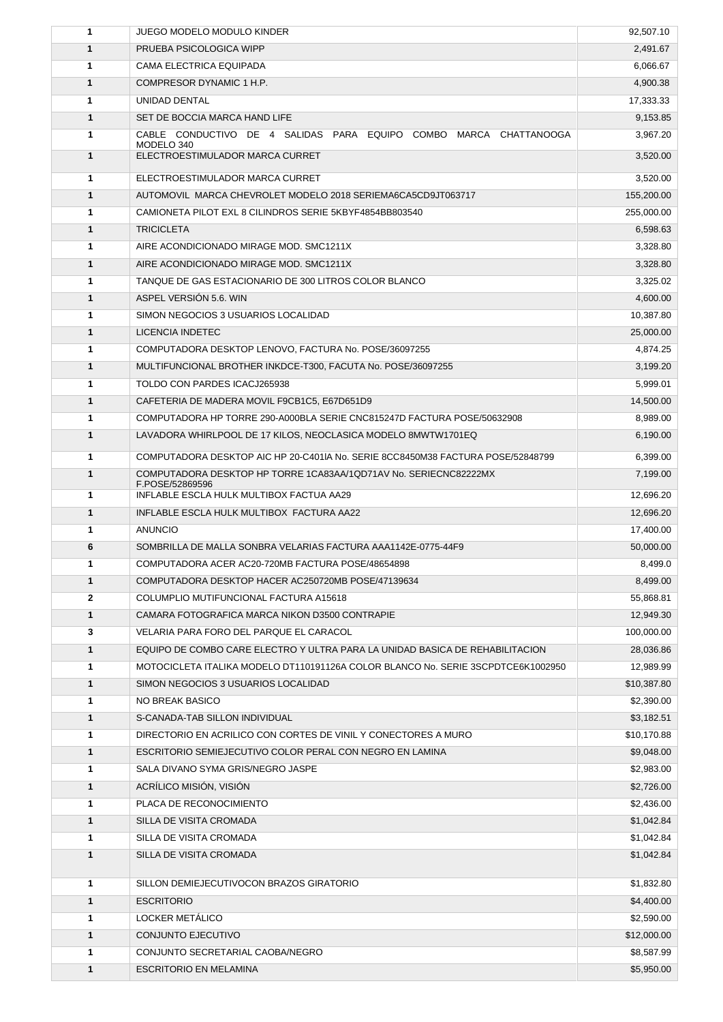| 1            | JUEGO MODELO MODULO KINDER                                                       | 92,507.10              |
|--------------|----------------------------------------------------------------------------------|------------------------|
| $\mathbf{1}$ | PRUEBA PSICOLOGICA WIPP                                                          | 2,491.67               |
| 1            | CAMA ELECTRICA EQUIPADA                                                          | 6,066.67               |
| $\mathbf{1}$ | COMPRESOR DYNAMIC 1 H.P.                                                         | 4,900.38               |
| 1            | UNIDAD DENTAL                                                                    | 17,333.33              |
| $\mathbf{1}$ | SET DE BOCCIA MARCA HAND LIFE                                                    | 9,153.85               |
| 1            | CABLE CONDUCTIVO DE 4 SALIDAS PARA EQUIPO COMBO MARCA CHATTANOOGA<br>MODELO 340  | 3,967.20               |
| 1            | ELECTROESTIMULADOR MARCA CURRET                                                  | 3,520.00               |
| 1            | ELECTROESTIMULADOR MARCA CURRET                                                  | 3,520.00               |
| $\mathbf{1}$ | AUTOMOVIL MARCA CHEVROLET MODELO 2018 SERIEMA6CA5CD9JT063717                     | 155,200.00             |
| 1            | CAMIONETA PILOT EXL 8 CILINDROS SERIE 5KBYF4854BB803540                          | 255,000.00             |
| $\mathbf{1}$ | <b>TRICICLETA</b>                                                                | 6,598.63               |
| 1            | AIRE ACONDICIONADO MIRAGE MOD. SMC1211X                                          | 3,328.80               |
| $\mathbf{1}$ | AIRE ACONDICIONADO MIRAGE MOD. SMC1211X                                          | 3,328.80               |
| 1            | TANQUE DE GAS ESTACIONARIO DE 300 LITROS COLOR BLANCO                            | 3,325.02               |
| $\mathbf{1}$ | ASPEL VERSION 5.6. WIN                                                           | 4,600.00               |
| 1            | SIMON NEGOCIOS 3 USUARIOS LOCALIDAD                                              | 10,387.80              |
| $\mathbf{1}$ | <b>LICENCIA INDETEC</b>                                                          | 25,000.00              |
| 1            | COMPUTADORA DESKTOP LENOVO, FACTURA No. POSE/36097255                            | 4,874.25               |
| $\mathbf{1}$ | MULTIFUNCIONAL BROTHER INKDCE-T300, FACUTA No. POSE/36097255                     | 3,199.20               |
| 1            | TOLDO CON PARDES ICACJ265938                                                     | 5,999.01               |
| $\mathbf{1}$ | CAFETERIA DE MADERA MOVIL F9CB1C5, E67D651D9                                     | 14,500.00              |
| 1            | COMPUTADORA HP TORRE 290-A000BLA SERIE CNC815247D FACTURA POSE/50632908          | 8,989.00               |
| $\mathbf{1}$ | LAVADORA WHIRLPOOL DE 17 KILOS, NEOCLASICA MODELO 8MWTW1701EQ                    | 6,190.00               |
| 1            | COMPUTADORA DESKTOP AIC HP 20-C401IA No. SERIE 8CC8450M38 FACTURA POSE/52848799  | 6,399.00               |
| $\mathbf{1}$ | COMPUTADORA DESKTOP HP TORRE 1CA83AA/1QD71AV No. SERIECNC82222MX                 | 7,199.00               |
|              | F.POSE/52869596                                                                  |                        |
| 1            | <b>INFLABLE ESCLA HULK MULTIBOX FACTUA AA29</b>                                  | 12,696.20              |
| $\mathbf{1}$ | INFLABLE ESCLA HULK MULTIBOX FACTURA AA22                                        | 12,696.20              |
| 1<br>6       | ANUNCIO<br>SOMBRILLA DE MALLA SONBRA VELARIAS FACTURA AAA1142E-0775-44F9         | 17,400.00<br>50,000.00 |
| 1            | COMPUTADORA ACER AC20-720MB FACTURA POSE/48654898                                |                        |
| $\mathbf{1}$ | COMPUTADORA DESKTOP HACER AC250720MB POSE/47139634                               | 8,499.0<br>8,499.00    |
| $\mathbf{2}$ | COLUMPLIO MUTIFUNCIONAL FACTURA A15618                                           | 55,868.81              |
| $\mathbf{1}$ | CAMARA FOTOGRAFICA MARCA NIKON D3500 CONTRAPIE                                   | 12,949.30              |
| 3            | VELARIA PARA FORO DEL PARQUE EL CARACOL                                          | 100,000.00             |
| 1            | EQUIPO DE COMBO CARE ELECTRO Y ULTRA PARA LA UNIDAD BASICA DE REHABILITACION     | 28,036.86              |
| 1            | MOTOCICLETA ITALIKA MODELO DT110191126A COLOR BLANCO No. SERIE 3SCPDTCE6K1002950 | 12,989.99              |
| 1            | SIMON NEGOCIOS 3 USUARIOS LOCALIDAD                                              | \$10,387.80            |
| 1            | NO BREAK BASICO                                                                  | \$2,390.00             |
| $\mathbf{1}$ | S-CANADA-TAB SILLON INDIVIDUAL                                                   | \$3,182.51             |
| 1            | DIRECTORIO EN ACRILICO CON CORTES DE VINIL Y CONECTORES A MURO                   | \$10,170.88            |
| 1            | ESCRITORIO SEMIEJECUTIVO COLOR PERAL CON NEGRO EN LAMINA                         | \$9,048.00             |
| 1            | SALA DIVANO SYMA GRIS/NEGRO JASPE                                                | \$2,983.00             |
| 1            | ACRÍLICO MISIÓN, VISIÓN                                                          | \$2,726.00             |
| 1            | PLACA DE RECONOCIMIENTO                                                          | \$2,436.00             |
| 1            | SILLA DE VISITA CROMADA                                                          | \$1,042.84             |
| 1            | SILLA DE VISITA CROMADA                                                          | \$1,042.84             |
| $\mathbf{1}$ | SILLA DE VISITA CROMADA                                                          | \$1,042.84             |
|              |                                                                                  |                        |
| 1            | SILLON DEMIEJECUTIVOCON BRAZOS GIRATORIO                                         | \$1,832.80             |
| 1            | <b>ESCRITORIO</b>                                                                | \$4,400.00             |
| 1            | LOCKER METALICO                                                                  | \$2,590.00             |
| 1            | CONJUNTO EJECUTIVO                                                               | \$12,000.00            |
| 1            | CONJUNTO SECRETARIAL CAOBA/NEGRO                                                 | \$8,587.99             |
| 1            | <b>ESCRITORIO EN MELAMINA</b>                                                    | \$5,950.00             |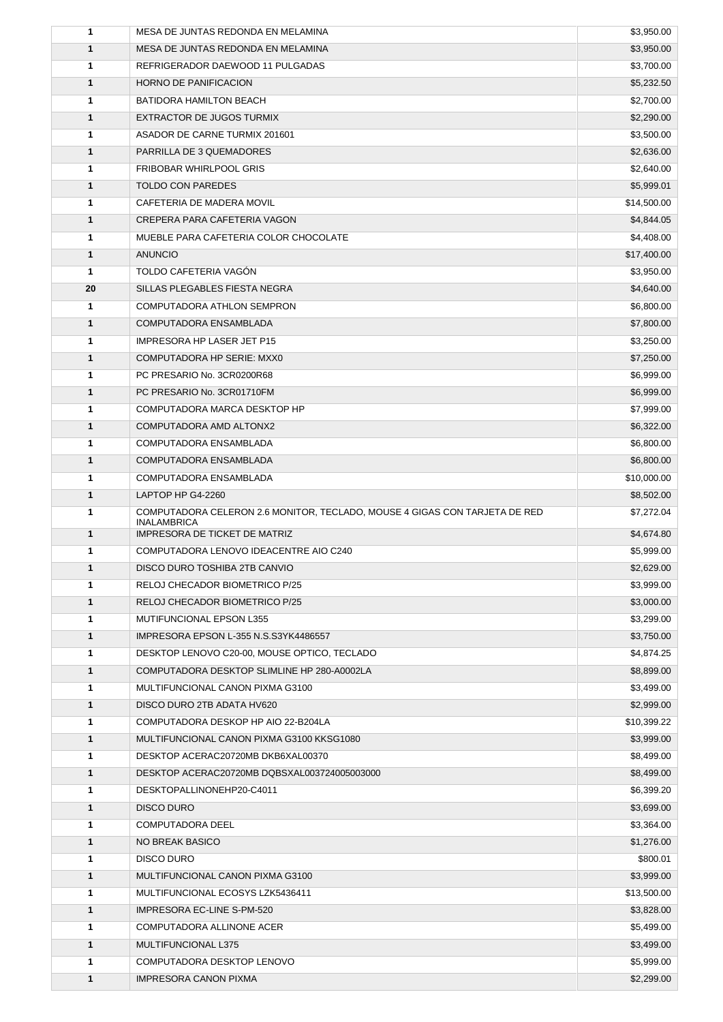| 1            | MESA DE JUNTAS REDONDA EN MELAMINA                                                               | \$3,950.00  |
|--------------|--------------------------------------------------------------------------------------------------|-------------|
| $\mathbf{1}$ | MESA DE JUNTAS REDONDA EN MELAMINA                                                               | \$3,950.00  |
| 1            | REFRIGERADOR DAEWOOD 11 PULGADAS                                                                 | \$3,700.00  |
| $\mathbf{1}$ | <b>HORNO DE PANIFICACION</b>                                                                     | \$5,232.50  |
| 1            | BATIDORA HAMILTON BEACH                                                                          | \$2,700.00  |
| $\mathbf{1}$ | EXTRACTOR DE JUGOS TURMIX                                                                        | \$2,290.00  |
| 1            | ASADOR DE CARNE TURMIX 201601                                                                    | \$3,500.00  |
| 1            | PARRILLA DE 3 QUEMADORES                                                                         | \$2,636.00  |
| 1            | <b>FRIBOBAR WHIRLPOOL GRIS</b>                                                                   | \$2,640.00  |
| $\mathbf{1}$ | <b>TOLDO CON PAREDES</b>                                                                         | \$5,999.01  |
| 1            | CAFETERIA DE MADERA MOVIL                                                                        | \$14,500.00 |
| $\mathbf{1}$ | CREPERA PARA CAFETERIA VAGON                                                                     | \$4,844.05  |
| 1            | MUEBLE PARA CAFETERIA COLOR CHOCOLATE                                                            | \$4,408.00  |
| $\mathbf{1}$ | <b>ANUNCIO</b>                                                                                   | \$17,400.00 |
| 1            | TOLDO CAFETERIA VAGÓN                                                                            | \$3,950.00  |
| 20           | SILLAS PLEGABLES FIESTA NEGRA                                                                    | \$4,640.00  |
| $\mathbf{1}$ | COMPUTADORA ATHLON SEMPRON                                                                       | \$6,800.00  |
| $\mathbf{1}$ | COMPUTADORA ENSAMBLADA                                                                           | \$7,800.00  |
| 1            | <b>IMPRESORA HP LASER JET P15</b>                                                                | \$3,250.00  |
| $\mathbf{1}$ | COMPUTADORA HP SERIE: MXX0                                                                       | \$7,250.00  |
| $\mathbf{1}$ | PC PRESARIO No. 3CR0200R68                                                                       | \$6,999.00  |
| $\mathbf{1}$ | PC PRESARIO No. 3CR01710FM                                                                       | \$6,999.00  |
| 1            | COMPUTADORA MARCA DESKTOP HP                                                                     | \$7,999.00  |
| $\mathbf{1}$ | COMPUTADORA AMD ALTONX2                                                                          | \$6,322.00  |
| 1            | COMPUTADORA ENSAMBLADA                                                                           | \$6,800.00  |
| 1            | COMPUTADORA ENSAMBLADA                                                                           | \$6,800.00  |
| $\mathbf{1}$ | COMPUTADORA ENSAMBLADA                                                                           | \$10,000.00 |
| $\mathbf{1}$ | LAPTOP HP G4-2260                                                                                | \$8,502.00  |
| 1            | COMPUTADORA CELERON 2.6 MONITOR, TECLADO, MOUSE 4 GIGAS CON TARJETA DE RED<br><b>INALAMBRICA</b> | \$7,272.04  |
| $\mathbf{1}$ | <b>IMPRESORA DE TICKET DE MATRIZ</b>                                                             | \$4,674.80  |
| 1            | COMPUTADORA LENOVO IDEACENTRE AIO C240                                                           | \$5,999.00  |
| $\mathbf{1}$ | DISCO DURO TOSHIBA 2TB CANVIO                                                                    | \$2,629.00  |
| 1            | RELOJ CHECADOR BIOMETRICO P/25                                                                   | \$3,999.00  |
| 1            | RELOJ CHECADOR BIOMETRICO P/25                                                                   | \$3,000.00  |
| 1            | MUTIFUNCIONAL EPSON L355                                                                         | \$3,299.00  |
| $\mathbf{1}$ | IMPRESORA EPSON L-355 N.S.S3YK4486557                                                            | \$3,750.00  |
| 1            | DESKTOP LENOVO C20-00, MOUSE OPTICO, TECLADO                                                     | \$4,874.25  |
| 1            | COMPUTADORA DESKTOP SLIMLINE HP 280-A0002LA                                                      | \$8,899.00  |
| 1            | MULTIFUNCIONAL CANON PIXMA G3100                                                                 | \$3,499.00  |
| 1            | DISCO DURO 2TB ADATA HV620                                                                       | \$2,999.00  |
| 1            | COMPUTADORA DESKOP HP AIO 22-B204LA                                                              | \$10,399.22 |
| $\mathbf{1}$ | MULTIFUNCIONAL CANON PIXMA G3100 KKSG1080                                                        | \$3,999.00  |
| 1            | DESKTOP ACERAC20720MB DKB6XAL00370                                                               | \$8,499.00  |
| 1            | DESKTOP ACERAC20720MB DQBSXAL003724005003000                                                     | \$8,499.00  |
| 1            | DESKTOPALLINONEHP20-C4011                                                                        | \$6,399.20  |
| 1            | <b>DISCO DURO</b>                                                                                | \$3,699.00  |
| 1            | <b>COMPUTADORA DEEL</b>                                                                          | \$3,364.00  |
| 1            | NO BREAK BASICO                                                                                  | \$1,276.00  |
| 1            | <b>DISCO DURO</b>                                                                                | \$800.01    |
| 1            | MULTIFUNCIONAL CANON PIXMA G3100                                                                 | \$3,999.00  |
| 1            | MULTIFUNCIONAL ECOSYS LZK5436411                                                                 | \$13,500.00 |
| $\mathbf{1}$ | IMPRESORA EC-LINE S-PM-520                                                                       | \$3,828.00  |
| 1            | COMPUTADORA ALLINONE ACER                                                                        | \$5,499.00  |
| 1            | MULTIFUNCIONAL L375                                                                              | \$3,499.00  |
| 1            | COMPUTADORA DESKTOP LENOVO                                                                       | \$5,999.00  |
| 1            | <b>IMPRESORA CANON PIXMA</b>                                                                     | \$2,299.00  |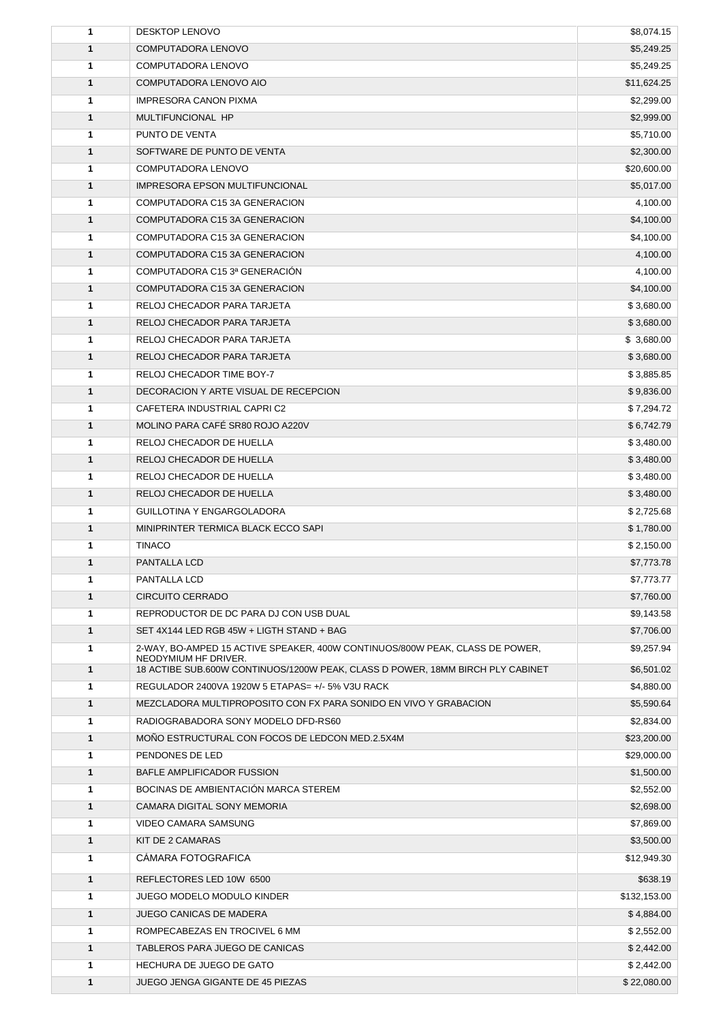| $\mathbf{1}$ | <b>DESKTOP LENOVO</b>                                                                                  | \$8,074.15   |
|--------------|--------------------------------------------------------------------------------------------------------|--------------|
| $\mathbf{1}$ | COMPUTADORA LENOVO                                                                                     | \$5,249.25   |
| 1            | COMPUTADORA LENOVO                                                                                     | \$5,249.25   |
| $\mathbf{1}$ | COMPUTADORA LENOVO AIO                                                                                 | \$11,624.25  |
| 1            | <b>IMPRESORA CANON PIXMA</b>                                                                           | \$2,299.00   |
| $\mathbf{1}$ | MULTIFUNCIONAL HP                                                                                      | \$2,999.00   |
| $\mathbf{1}$ | PUNTO DE VENTA                                                                                         | \$5,710.00   |
| 1            | SOFTWARE DE PUNTO DE VENTA                                                                             | \$2,300.00   |
| 1            | COMPUTADORA LENOVO                                                                                     | \$20,600.00  |
| $\mathbf{1}$ | <b>IMPRESORA EPSON MULTIFUNCIONAL</b>                                                                  | \$5,017.00   |
| $\mathbf{1}$ | COMPUTADORA C15 3A GENERACION                                                                          | 4,100.00     |
| $\mathbf{1}$ | COMPUTADORA C15 3A GENERACION                                                                          | \$4,100.00   |
| $\mathbf{1}$ | COMPUTADORA C15 3A GENERACION                                                                          | \$4,100.00   |
| $\mathbf{1}$ | COMPUTADORA C15 3A GENERACION                                                                          | 4,100.00     |
| 1            | COMPUTADORA C15 3ª GENERACIÓN                                                                          | 4,100.00     |
| $\mathbf{1}$ | COMPUTADORA C15 3A GENERACION                                                                          | \$4,100.00   |
| $\mathbf{1}$ | RELOJ CHECADOR PARA TARJETA                                                                            | \$3,680.00   |
| $\mathbf{1}$ | RELOJ CHECADOR PARA TARJETA                                                                            | \$3,680.00   |
| 1            | RELOJ CHECADOR PARA TARJETA                                                                            | \$ 3,680.00  |
| $\mathbf{1}$ | RELOJ CHECADOR PARA TARJETA                                                                            | \$3,680.00   |
| $\mathbf{1}$ | RELOJ CHECADOR TIME BOY-7                                                                              | \$3,885.85   |
| $\mathbf{1}$ | DECORACION Y ARTE VISUAL DE RECEPCION                                                                  | \$9,836.00   |
| $\mathbf{1}$ | CAFETERA INDUSTRIAL CAPRI C2                                                                           | \$7,294.72   |
| $\mathbf{1}$ | MOLINO PARA CAFÉ SR80 ROJO A220V                                                                       | \$6,742.79   |
| 1            | RELOJ CHECADOR DE HUELLA                                                                               | \$3,480.00   |
| $\mathbf{1}$ | RELOJ CHECADOR DE HUELLA                                                                               | \$3,480.00   |
| $\mathbf{1}$ | RELOJ CHECADOR DE HUELLA                                                                               | \$3,480.00   |
| 1            | RELOJ CHECADOR DE HUELLA                                                                               | \$3,480.00   |
| 1            | GUILLOTINA Y ENGARGOLADORA                                                                             | \$2,725.68   |
| $\mathbf{1}$ | MINIPRINTER TERMICA BLACK ECCO SAPI                                                                    | \$1,780.00   |
| 1            | <b>TINACO</b>                                                                                          | \$2,150.00   |
| 1            | PANTALLA LCD                                                                                           | \$7,773.78   |
| $\mathbf{1}$ | PANTALLA LCD                                                                                           | \$7,773.77   |
| 1            | <b>CIRCUITO CERRADO</b>                                                                                | \$7,760.00   |
| 1            | REPRODUCTOR DE DC PARA DJ CON USB DUAL                                                                 | \$9,143.58   |
| $\mathbf{1}$ | SET 4X144 LED RGB 45W + LIGTH STAND + BAG                                                              | \$7,706.00   |
| $\mathbf{1}$ | 2-WAY, BO-AMPED 15 ACTIVE SPEAKER, 400W CONTINUOS/800W PEAK, CLASS DE POWER,                           | \$9,257.94   |
| 1            | NEODYMIUM HF DRIVER.<br>18 ACTIBE SUB.600W CONTINUOS/1200W PEAK, CLASS D POWER, 18MM BIRCH PLY CABINET | \$6,501.02   |
| 1            | REGULADOR 2400VA 1920W 5 ETAPAS= +/- 5% V3U RACK                                                       | \$4,880.00   |
| $\mathbf{1}$ | MEZCLADORA MULTIPROPOSITO CON FX PARA SONIDO EN VIVO Y GRABACION                                       | \$5,590.64   |
| $\mathbf{1}$ | RADIOGRABADORA SONY MODELO DFD-RS60                                                                    | \$2,834.00   |
| $\mathbf{1}$ | MONO ESTRUCTURAL CON FOCOS DE LEDCON MED.2.5X4M                                                        | \$23,200.00  |
| 1            | PENDONES DE LED                                                                                        | \$29,000.00  |
| $\mathbf{1}$ | BAFLE AMPLIFICADOR FUSSION                                                                             | \$1,500.00   |
| 1            | BOCINAS DE AMBIENTACIÓN MARCA STEREM                                                                   | \$2,552.00   |
| $\mathbf{1}$ | <b>CAMARA DIGITAL SONY MEMORIA</b>                                                                     | \$2,698.00   |
| $\mathbf{1}$ | VIDEO CAMARA SAMSUNG                                                                                   | \$7,869.00   |
| $\mathbf{1}$ | KIT DE 2 CAMARAS                                                                                       | \$3,500.00   |
| 1            | CÁMARA FOTOGRAFICA                                                                                     | \$12,949.30  |
|              |                                                                                                        |              |
| $\mathbf{1}$ | REFLECTORES LED 10W 6500                                                                               | \$638.19     |
| $\mathbf{1}$ | JUEGO MODELO MODULO KINDER                                                                             | \$132,153.00 |
| $\mathbf{1}$ | JUEGO CANICAS DE MADERA                                                                                | \$4,884.00   |
| 1            | ROMPECABEZAS EN TROCIVEL 6 MM                                                                          | \$2,552.00   |
| $\mathbf{1}$ | TABLEROS PARA JUEGO DE CANICAS                                                                         | \$2,442.00   |
| $\mathbf{1}$ | HECHURA DE JUEGO DE GATO                                                                               | \$2,442.00   |
| 1            | JUEGO JENGA GIGANTE DE 45 PIEZAS                                                                       | \$22,080.00  |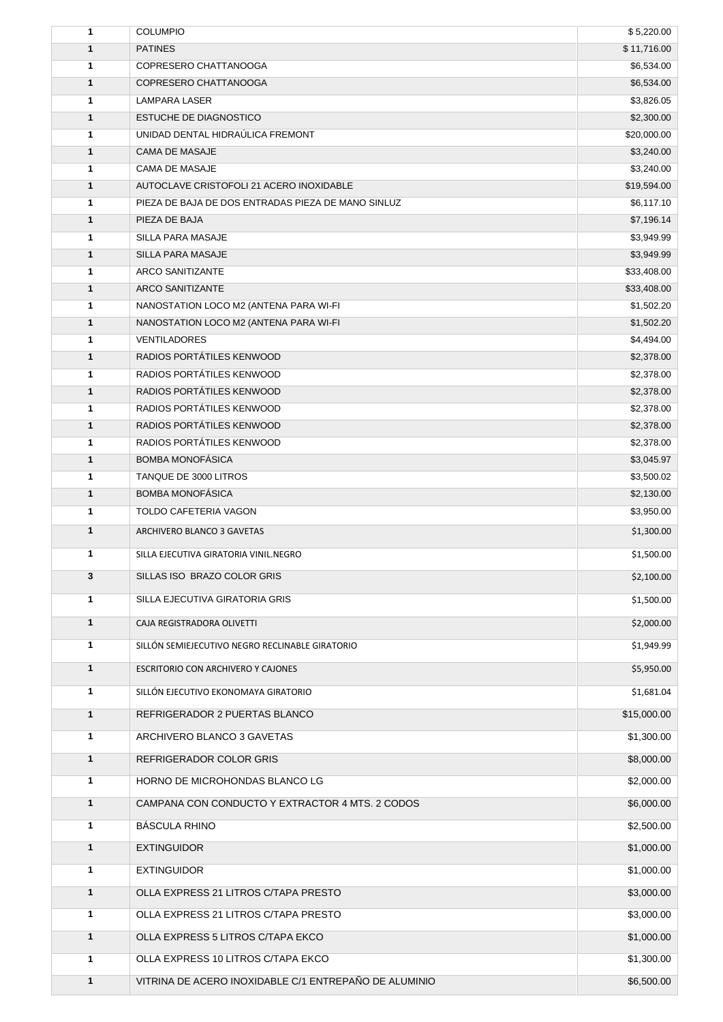| $\mathbf{1}$      | <b>COLUMPIO</b>                                        | \$5,220.00               |
|-------------------|--------------------------------------------------------|--------------------------|
| $\mathbf{1}$      | <b>PATINES</b>                                         | \$11,716.00              |
| 1                 | COPRESERO CHATTANOOGA                                  | \$6,534.00               |
| $\mathbf{1}$      | COPRESERO CHATTANOOGA                                  | \$6,534.00               |
| $\mathbf{1}$      | <b>LAMPARA LASER</b>                                   | \$3,826.05               |
| $\mathbf{1}$      | <b>ESTUCHE DE DIAGNOSTICO</b>                          | \$2,300.00               |
| 1                 | UNIDAD DENTAL HIDRAÚLICA FREMONT                       | \$20,000.00              |
| $\mathbf{1}$      | <b>CAMA DE MASAJE</b>                                  | \$3,240.00               |
| 1                 | CAMA DE MASAJE                                         | \$3,240.00               |
| 1                 | AUTOCLAVE CRISTOFOLI 21 ACERO INOXIDABLE               | \$19,594.00              |
| $\mathbf{1}$      | PIEZA DE BAJA DE DOS ENTRADAS PIEZA DE MANO SINLUZ     | \$6,117.10               |
| $\mathbf{1}$      | PIEZA DE BAJA                                          | \$7,196.14               |
| 1                 | SILLA PARA MASAJE                                      | \$3,949.99               |
| $\mathbf{1}$      | SILLA PARA MASAJE                                      | \$3,949.99               |
| 1                 | <b>ARCO SANITIZANTE</b>                                | \$33,408.00              |
| 1                 | <b>ARCO SANITIZANTE</b>                                | \$33,408.00              |
| 1                 | NANOSTATION LOCO M2 (ANTENA PARA WI-FI                 | \$1,502.20               |
| $\mathbf{1}$      | NANOSTATION LOCO M2 (ANTENA PARA WI-FI                 | \$1,502.20               |
| $\mathbf{1}$      | <b>VENTILADORES</b>                                    | \$4,494.00               |
| $\mathbf{1}$<br>1 | RADIOS PORTATILES KENWOOD<br>RADIOS PORTÁTILES KENWOOD | \$2,378.00               |
| $\mathbf{1}$      | RADIOS PORTÁTILES KENWOOD                              | \$2,378.00<br>\$2,378.00 |
| 1                 | RADIOS PORTÁTILES KENWOOD                              | \$2,378.00               |
| $\mathbf{1}$      | RADIOS PORTÁTILES KENWOOD                              | \$2,378.00               |
| 1                 | RADIOS PORTÁTILES KENWOOD                              | \$2,378.00               |
| $\mathbf{1}$      | <b>BOMBA MONOFASICA</b>                                | \$3,045.97               |
| 1                 | TANQUE DE 3000 LITROS                                  | \$3,500.02               |
| $\mathbf{1}$      | <b>BOMBA MONOFÁSICA</b>                                | \$2,130.00               |
| 1                 | TOLDO CAFETERIA VAGON                                  | \$3,950.00               |
| $\mathbf{1}$      | ARCHIVERO BLANCO 3 GAVETAS                             | \$1,300.00               |
| 1                 | SILLA EJECUTIVA GIRATORIA VINIL.NEGRO                  | \$1,500.00               |
| 3                 | SILLAS ISO BRAZO COLOR GRIS                            | \$2,100.00               |
| $\mathbf{1}$      | SILLA EJECUTIVA GIRATORIA GRIS                         | \$1,500.00               |
|                   |                                                        |                          |
| $\mathbf{1}$      | CAJA REGISTRADORA OLIVETTI                             | \$2,000.00               |
| 1                 | SILLÓN SEMIEJECUTIVO NEGRO RECLINABLE GIRATORIO        | \$1,949.99               |
| $\mathbf{1}$      | <b>ESCRITORIO CON ARCHIVERO Y CAJONES</b>              | \$5,950.00               |
| 1                 | SILLÓN EJECUTIVO EKONOMAYA GIRATORIO                   | \$1,681.04               |
| $\mathbf{1}$      | REFRIGERADOR 2 PUERTAS BLANCO                          | \$15,000.00              |
| 1                 | ARCHIVERO BLANCO 3 GAVETAS                             | \$1,300.00               |
| $\mathbf{1}$      | REFRIGERADOR COLOR GRIS                                | \$8,000.00               |
| 1                 | HORNO DE MICROHONDAS BLANCO LG                         | \$2,000.00               |
| $\mathbf{1}$      | CAMPANA CON CONDUCTO Y EXTRACTOR 4 MTS. 2 CODOS        | \$6,000.00               |
| 1                 | <b>BÁSCULA RHINO</b>                                   | \$2,500.00               |
| $\mathbf{1}$      | <b>EXTINGUIDOR</b>                                     | \$1,000.00               |
| $\mathbf{1}$      | <b>EXTINGUIDOR</b>                                     | \$1,000.00               |
| 1                 | OLLA EXPRESS 21 LITROS C/TAPA PRESTO                   | \$3,000.00               |
| 1                 | OLLA EXPRESS 21 LITROS C/TAPA PRESTO                   | \$3,000.00               |
| 1                 | OLLA EXPRESS 5 LITROS C/TAPA EKCO                      | \$1,000.00               |
| 1                 | OLLA EXPRESS 10 LITROS C/TAPA EKCO                     | \$1,300.00               |
| 1                 | VITRINA DE ACERO INOXIDABLE C/1 ENTREPAÑO DE ALUMINIO  | \$6,500.00               |